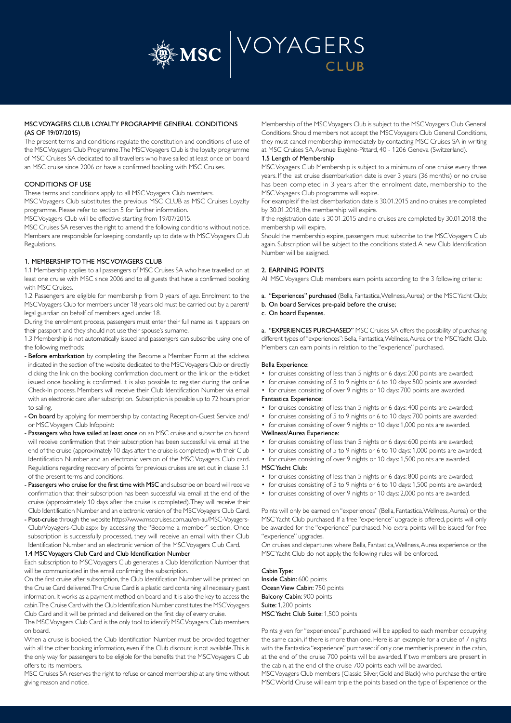

# MSC VOYAGERS CLUB LOYALTY PROGRAMME GENERAL CONDITIONS (AS OF 19/07/2015)

The present terms and conditions regulate the constitution and conditions of use of the MSC Voyagers Club Programme. The MSC Voyagers Club is the loyalty programme of MSC Cruises SA dedicated to all travellers who have sailed at least once on board an MSC cruise since 2006 or have a confirmed booking with MSC Cruises.

## CONDITIONS OF USE

These terms and conditions apply to all MSC Voyagers Club members.

MSC Voyagers Club substitutes the previous MSC CLUB as MSC Cruises Loyalty programme. Please refer to section 5 for further information.

MSC Voyagers Club will be effective starting from 19/07/2015.

MSC Cruises SA reserves the right to amend the following conditions without notice. Members are responsible for keeping constantly up to date with MSC Voyagers Club Regulations.

## 1. MEMBERSHIP TO THE MSC VOYAGERS CLUB

1.1 Membership applies to all passengers of MSC Cruises SA who have travelled on at least one cruise with MSC since 2006 and to all guests that have a confirmed booking with MSC Cruises.

1.2 Passengers are eligible for membership from 0 years of age. Enrolment to the MSC Voyagers Club for members under 18 years old must be carried out by a parent/ legal guardian on behalf of members aged under 18.

During the enrolment process, passengers must enter their full name as it appears on their passport and they should not use their spouse's surname.

1.3 Membership is not automatically issued and passengers can subscribe using one of the following methods:

- Before embarkation by completing the Become a Member Form at the address indicated in the section of the website dedicated to the MSC Voyagers Club or directly clicking the link on the booking confirmation document or the link on the e-ticket issued once booking is confirmed. It is also possible to register during the online Check-In process. Members will receive their Club Identification Number via email with an electronic card after subscription. Subscription is possible up to 72 hours prior to sailing.

- On board by applying for membership by contacting Reception-Guest Service and/ or MSC Voyagers Club Infopoint:
- Passengers who have sailed at least once on an MSC cruise and subscribe on board will receive confirmation that their subscription has been successful via email at the end of the cruise (approximately 10 days after the cruise is completed) with their Club Identification Number and an electronic version of the MSC Voyagers Club card. Regulations regarding recovery of points for previous cruises are set out in clause 3.1 of the present terms and conditions.
- Passengers who cruise for the first time with MSC and subscribe on board will receive confirmation that their subscription has been successful via email at the end of the cruise (approximately 10 days after the cruise is completed). They will receive their Club Identification Number and an electronic version of the MSC Voyagers Club Card.
- Post-cruise through the website https://www.msccruises.com.au/en-au/MSC-Voyagers-Club/Voyagers-Club.aspx by accessing the "Become a member" section. Once subscription is successfully processed, they will receive an email with their Club Identification Number and an electronic version of the MSC Voyagers Club Card.

## 1.4 MSC Voyagers Club Card and Club Identification Number

Each subscription to MSC Voyagers Club generates a Club Identification Number that will be communicated in the email confirming the subscription.

On the first cruise after subscription, the Club Identification Number will be printed on the Cruise Card delivered. The Cruise Card is a plastic card containing all necessary guest information. It works as a payment method on board and it is also the key to access the cabin. The Cruise Card with the Club Identification Number constitutes the MSC Voyagers Club Card and it will be printed and delivered on the first day of every cruise.

The MSC Voyagers Club Card is the only tool to identify MSC Voyagers Club members on board.

When a cruise is booked, the Club Identification Number must be provided together with all the other booking information, even if the Club discount is not available. This is the only way for passengers to be eligible for the benefits that the MSC Voyagers Club offers to its members.

MSC Cruises SA reserves the right to refuse or cancel membership at any time without giving reason and notice.

Membership of the MSC Voyagers Club is subject to the MSC Voyagers Club General Conditions. Should members not accept the MSC Voyagers Club General Conditions, they must cancel membership immediately by contacting MSC Cruises SA in writing at MSC Cruises SA, Avenue Eugène-Pittard, 40 - 1206 Geneva (Switzerland).

# 1.5 Length of Membership

MSC Voyagers Club Membership is subject to a minimum of one cruise every three years. If the last cruise disembarkation date is over 3 years (36 months) or no cruise has been completed in 3 years after the enrolment date, membership to the MSC Voyagers Club programme will expire.

For example: if the last disembarkation date is 30.01.2015 and no cruises are completed by 30.01.2018, the membership will expire.

If the registration date is 30.01.2015 and no cruises are completed by 30.01.2018, the membership will expire.

Should the membership expire, passengers must subscribe to the MSC Voyagers Club again. Subscription will be subject to the conditions stated. A new Club Identification Number will be assigned.

# 2. EARNING POINTS

All MSC Voyagers Club members earn points according to the 3 following criteria:

a. "Experiences" purchased (Bella, Fantastica, Wellness, Aurea) or the MSC Yacht Club;

- b. On board Services pre-paid before the cruise;
- c. On board Expenses.

a. "EXPERIENCES PURCHASED" MSC Cruises SA offers the possibility of purchasing different types of "experiences": Bella, Fantastica, Wellness, Aurea or the MSC Yacht Club. Members can earn points in relation to the "experience" purchased.

### Bella Experience:

- for cruises consisting of less than 5 nights or 6 days: 200 points are awarded;
- for cruises consisting of 5 to 9 nights or 6 to 10 days: 500 points are awarded:
- for cruises consisting of over 9 nights or 10 days: 700 points are awarded. Fantastica Experience:
- for cruises consisting of less than 5 nights or 6 days: 400 points are awarded;
- for cruises consisting of 5 to 9 nights or 6 to 10 days: 700 points are awarded;
- for cruises consisting of over 9 nights or 10 days: 1,000 points are awarded. Wellness/Aurea Experience:
- 
- for cruises consisting of less than 5 nights or 6 days: 600 points are awarded;
- for cruises consisting of 5 to 9 nights or 6 to 10 days: 1,000 points are awarded;
- for cruises consisting of over 9 nights or 10 days: 1,500 points are awarded. MSC Yacht Club:
- for cruises consisting of less than 5 nights or 6 days: 800 points are awarded;
- for cruises consisting of 5 to 9 nights or 6 to 10 days: 1,500 points are awarded;
- for cruises consisting of over 9 nights or 10 days: 2,000 points are awarded.

Points will only be earned on "experiences" (Bella, Fantastica, Wellness, Aurea) or the MSC Yacht Club purchased. If a free "experience" upgrade is offered, points will only be awarded for the "experience" purchased. No extra points will be issued for free "experience" upgrades.

On cruises and departures where Bella, Fantastica, Wellness, Aurea experience or the MSC Yacht Club do not apply, the following rules will be enforced.

Cabin Type: Inside Cabin: 600 points Ocean View Cabin: 750 points Balcony Cabin: 900 points Suite: 1,200 points MSC Yacht Club Suite: 1,500 points

Points given for "experiences" purchased will be applied to each member occupying the same cabin, if there is more than one. Here is an example for a cruise of 7 nights with the Fantastica "experience" purchased: if only one member is present in the cabin, at the end of the cruise 700 points will be awarded. If two members are present in the cabin, at the end of the cruise 700 points each will be awarded.

MSC Voyagers Club members (Classic, Silver, Gold and Black) who purchase the entire MSC World Cruise will earn triple the points based on the type of Experience or the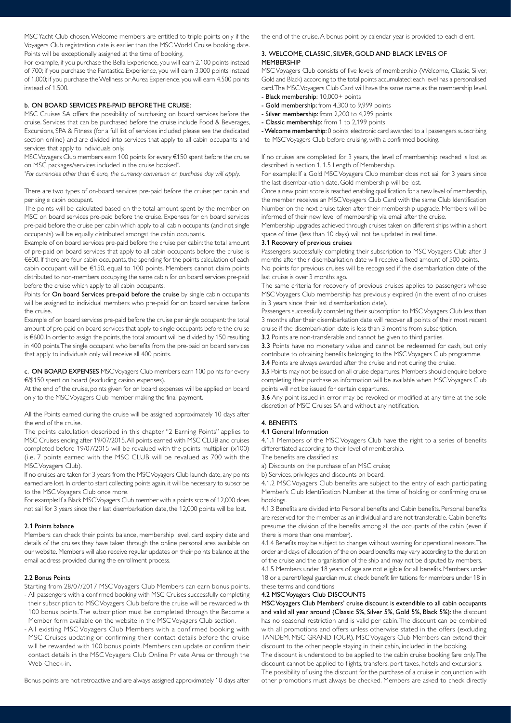MSC Yacht Club chosen. Welcome members are entitled to triple points only if the Voyagers Club registration date is earlier than the MSC World Cruise booking date. Points will be exceptionally assigned at the time of booking.

For example, if you purchase the Bella Experience, you will earn 2.100 points instead of 700; if you purchase the Fantastica Experience, you will earn 3.000 points instead of 1.000; if you purchase the Wellness or Aurea Experience, you will earn 4.500 points instead of 1.500.

### b. ON BOARD SERVICES PRE-PAID BEFORE THE CRUISE:

MSC Cruises SA offers the possibility of purchasing on board services before the cruise. Services that can be purchased before the cruise include Food & Beverages, Excursions, SPA & Fitness (for a full list of services included please see the dedicated section online) and are divided into services that apply to all cabin occupants and services that apply to individuals only.

MSC Voyagers Club members earn 100 points for every €150 spent before the cruise on MSC packages/services included in the cruise booked\* .

*\* For currencies other than € euro, the currency conversion on purchase day will apply.*

There are two types of on-board services pre-paid before the cruise: per cabin and per single cabin occupant.

The points will be calculated based on the total amount spent by the member on MSC on board services pre-paid before the cruise. Expenses for on board services pre-paid before the cruise per cabin which apply to all cabin occupants (and not single occupants) will be equally distributed amongst the cabin occupants.

Example of on board services pre-paid before the cruise per cabin: the total amount of pre-paid on board services that apply to all cabin occupants before the cruise is €600. If there are four cabin occupants, the spending for the points calculation of each cabin occupant will be €150, equal to 100 points. Members cannot claim points distributed to non-members occupying the same cabin for on board services pre-paid before the cruise which apply to all cabin occupants.

Points for On board Services pre-paid before the cruise by single cabin occupants will be assigned to individual members who pre-paid for on board services before the cruise.

Example of on board services pre-paid before the cruise per single occupant: the total amount of pre-paid on board services that apply to single occupants before the cruise is €600. In order to assign the points, the total amount will be divided by 150 resulting in 400 points. The single occupant who benefits from the pre-paid on board services that apply to individuals only will receive all 400 points.

c. ON BOARD EXPENSES MSC Voyagers Club members earn 100 points for every €/\$150 spent on board (excluding casino expenses).

At the end of the cruise, points given for on board expenses will be applied on board only to the MSC Voyagers Club member making the final payment.

All the Points earned during the cruise will be assigned approximately 10 days after the end of the cruise.

The points calculation described in this chapter "2 Earning Points" applies to MSC Cruises ending after 19/07/2015. All points earned with MSC CLUB and cruises completed before 19/07/2015 will be revalued with the points multiplier (x100) (i.e. 7 points earned with the MSC CLUB will be revalued as 700 with the MSC Voyagers Club).

If no cruises are taken for 3 years from the MSC Voyagers Club launch date, any points earned are lost. In order to start collecting points again, it will be necessary to subscribe to the MSC Voyagers Club once more.

For example: If a Black MSC Voyagers Club member with a points score of 12,000 does not sail for 3 years since their last disembarkation date, the 12,000 points will be lost.

### 2.1 Points balance

Members can check their points balance, membership level, card expiry date and details of the cruises they have taken through the online personal area available on our website. Members will also receive regular updates on their points balance at the email address provided during the enrollment process.

#### 2.2 Bonus Points

Starting from 28/07/2017 MSC Voyagers Club Members can earn bonus points.

- All passengers with a confirmed booking with MSC Cruises successfully completing their subscription to MSC Voyagers Club before the cruise will be rewarded with 100 bonus points. The subscription must be completed through the Become a Member form available on the website in the MSC Voyagers Club section.
- All existing MSC Voyagers Club Members with a confirmed booking with MSC Cruises updating or confirming their contact details before the cruise will be rewarded with 100 bonus points. Members can update or confirm their contact details in the MSC Voyagers Club Online Private Area or through the Web Check-in.

Bonus points are not retroactive and are always assigned approximately 10 days after

the end of the cruise. A bonus point by calendar year is provided to each client.

## 3. WELCOME, CLASSIC, SILVER, GOLD AND BLACK LEVELS OF **MEMBERSHIP**

MSC Voyagers Club consists of five levels of membership (Welcome, Classic, Silver, Gold and Black) according to the total points accumulated; each level has a personalised card. The MSC Voyagers Club Card will have the same name as the membership level.

- Black membership: 10,000+ points
- Gold membership: from 4,300 to 9,999 points
- Silver membership: from 2,200 to 4,299 points
- Classic membership: from 1 to 2,199 points
- Welcome membership: 0 points; electronic card awarded to all passengers subscribing to MSC Voyagers Club before cruising, with a confirmed booking.

If no cruises are completed for 3 years, the level of membership reached is lost as described in section 1, 1.5 Length of Membership.

For example: If a Gold MSC Voyagers Club member does not sail for 3 years since the last disembarkation date, Gold membership will be lost.

Once a new point score is reached enabling qualification for a new level of membership, the member receives an MSC Voyagers Club Card with the same Club Identification Number on the next cruise taken after their membership upgrade. Members will be informed of their new level of membership via email after the cruise.

Membership upgrades achieved through cruises taken on different ships within a short space of time (less than 10 days) will not be updated in real time.

### 3.1 Recovery of previous cruises

Passengers successfully completing their subscription to MSC Voyagers Club after 3 months after their disembarkation date will receive a fixed amount of 500 points. No points for previous cruises will be recognised if the disembarkation date of the last cruise is over 3 months ago.

The same criteria for recovery of previous cruises applies to passengers whose MSC Voyagers Club membership has previously expired (in the event of no cruises in 3 years since their last disembarkation date).

Passengers successfully completing their subscription to MSC Voyagers Club less than 3 months after their disembarkation date will recover all points of their most recent cruise if the disembarkation date is less than 3 months from subscription.

3.2 Points are non-transferable and cannot be given to third parties.

3.3 Points have no monetary value and cannot be redeemed for cash, but only contribute to obtaining benefits belonging to the MSC Voyagers Club programme. 3.4 Points are always awarded after the cruise and not during the cruise.

3.5 Points may not be issued on all cruise departures. Members should enquire before completing their purchase as information will be available when MSC Voyagers Club points will not be issued for certain departures.

3.6 Any point issued in error may be revoked or modified at any time at the sole discretion of MSC Cruises SA and without any notification.

# 4. BENEFITS

#### 4.1 General Information

4.1.1 Members of the MSC Voyagers Club have the right to a series of benefits differentiated according to their level of membership.

The benefits are classified as:

a) Discounts on the purchase of an MSC cruise;

b) Services, privileges and discounts on board.

4.1.2 MSC Voyagers Club benefits are subject to the entry of each participating Member's Club Identification Number at the time of holding or confirming cruise bookings.

4.1.3 Benefits are divided into Personal benefits and Cabin benefits. Personal benefits are reserved for the member as an individual and are not transferable. Cabin benefits presume the division of the benefits among all the occupants of the cabin (even if there is more than one member).

4.1.4 Benefits may be subject to changes without warning for operational reasons. The order and days of allocation of the on board benefits may vary according to the duration of the cruise and the organisation of the ship and may not be disputed by members.

4.1.5 Members under 18 years of age are not eligible for all benefits. Members under 18 or a parent/legal guardian must check benefit limitations for members under 18 in these terms and conditions.

# 4.2 MSC Voyagers Club DISCOUNTS

MSC Voyagers Club Members' cruise discount is extendible to all cabin occupants and valid all year around (Classic 5%, Silver 5%, Gold 5%, Black 5%): the discount has no seasonal restriction and is valid per cabin. The discount can be combined with all promotions and offers unless otherwise stated in the offers (excluding TANDEM, MSC GRAND TOUR). MSC Voyagers Club Members can extend their discount to the other people staying in their cabin, included in the booking.

The discount is understood to be applied to the cabin cruise booking fare only. The discount cannot be applied to flights, transfers, port taxes, hotels and excursions. The possibility of using the discount for the purchase of a cruise in conjunction with other promotions must always be checked. Members are asked to check directly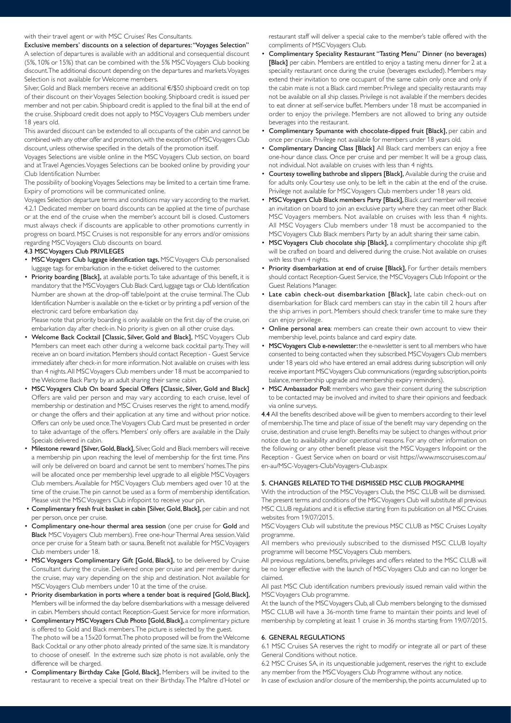#### with their travel agent or with MSC Cruises' Res Consultants.

Exclusive members' discounts on a selection of departures: "Voyages Selection" A selection of departures is available with an additional and consequential discount (5%, 10% or 15%) that can be combined with the 5% MSC Voyagers Club booking

discount. The additional discount depending on the departures and markets. Voyages Selection is not available for Welcome members.

Silver, Gold and Black members receive an additional €/\$50 shipboard credit on top of their discount on their Voyages Selection booking. Shipboard credit is issued per member and not per cabin. Shipboard credit is applied to the final bill at the end of the cruise. Shipboard credit does not apply to MSC Voyagers Club members under 18 years old.

This awarded discount can be extended to all occupants of the cabin and cannot be combined with any other offer and promotion, with the exception of MSC Voyagers Club discount, unless otherwise specified in the details of the promotion itself.

Voyages Selections are visible online in the MSC Voyagers Club section, on board and at Travel Agencies. Voyages Selections can be booked online by providing your Club Identification Number.

The possibility of booking Voyages Selections may be limited to a certain time frame. Expiry of promotions will be communicated online.

Voyages Selection departure terms and conditions may vary according to the market. 4.2.1 Dedicated member on board discounts can be applied at the time of purchase or at the end of the cruise when the member's account bill is closed. Customers must always check if discounts are applicable to other promotions currently in progress on board. MSC Cruises is not responsible for any errors and/or omissions regarding MSC Voyagers Club discounts on board.

## 4.3 MSC Voyagers Club PRIVILEGES

- MSC Voyagers Club luggage identification tags, MSC Voyagers Club personalised luggage tags for embarkation in the e-ticket delivered to the customer.
- Priority boarding [Black], at available ports. To take advantage of this benefit, it is mandatory that the MSC Voyagers Club Black Card, luggage tags or Club Identification Number are shown at the drop-off table/point at the cruise terminal. The Club Identification Number is available on the e-ticket or by printing a pdf version of the electronic card before embarkation day.

Please note that priority boarding is only available on the first day of the cruise, on embarkation day after check-in. No priority is given on all other cruise days.

- Welcome Back Cocktail [Classic, Silver, Gold and Black], MSC Voyagers Club Members can meet each other during a welcome back cocktail party. They will receive an on board invitation. Members should contact Reception - Guest Service immediately after check-in for more information. Not available on cruises with less than 4 nights. All MSC Voyagers Club members under 18 must be accompanied to the Welcome Back Party by an adult sharing their same cabin.
- MSC Voyagers Club On board Special Offers [Classic, Silver, Gold and Black] Offers are valid per person and may vary according to each cruise, level of membership or destination and MSC Cruises reserves the right to amend, modify or change the offers and their application at any time and without prior notice. Offers can only be used once. The Voyagers Club Card must be presented in order to take advantage of the offers. Members' only offers are available in the Daily Specials delivered in cabin.
- Milestone reward [Silver, Gold, Black], Silver, Gold and Black members will receive a membership pin upon reaching the level of membership for the first time. Pins will only be delivered on board and cannot be sent to members' homes. The pins will be allocated once per membership level upgrade to all eligible MSC Voyagers Club members. Available for MSC Voyagers Club members aged over 10 at the time of the cruise. The pin cannot be used as a form of membership identification. Please visit the MSC Voyagers Club infopoint to receive your pin.
- Complimentary fresh fruit basket in cabin [Silver, Gold, Black], per cabin and not per person, once per cruise.
- Complimentary one-hour thermal area session (one per cruise for Gold and Black MSC Voyagers Club members). Free one-hour Thermal Area session. Valid once per cruise for a Steam bath or sauna. Benefit not available for MSC Voyagers Club members under 18.
- MSC Voyagers Complimentary Gift [Gold, Black], to be delivered by Cruise Consultant during the cruise. Delivered once per cruise and per member during the cruise, may vary depending on the ship and destination. Not available for MSC Voyagers Club members under 10 at the time of the cruise.
- Priority disembarkation in ports where a tender boat is required [Gold, Black], Members will be informed the day before disembarkations with a message delivered in cabin. Members should contact Reception-Guest Service for more information.
- Complimentary MSC Voyagers Club Photo [Gold, Black], a complimentary picture is offered to Gold and Black members. The picture is selected by the guest. The photo will be a 15x20 format. The photo proposed will be from the Welcome Back Cocktail or any other photo already printed of the same size. It is mandatory to choose of oneself. In the extreme such size photo is not available, only the difference will be charged.
- Complimentary Birthday Cake [Gold, Black], Members will be invited to the restaurant to receive a special treat on their Birthday. The Maître d'Hotel or

restaurant staff will deliver a special cake to the member's table offered with the compliments of MSC Voyagers Club.

- Complimentary Speciality Restaurant "Tasting Menu" Dinner (no beverages) [Black] per cabin. Members are entitled to enjoy a tasting menu dinner for 2 at a speciality restaurant once during the cruise (beverages excluded). Members may extend their invitation to one occupant of the same cabin only once and only if the cabin mate is not a Black card member. Privilege and speciality restaurants may not be available on all ship classes. Privilege is not available if the members decides to eat dinner at self-service buffet. Members under 18 must be accompanied in order to enjoy the privilege. Members are not allowed to bring any outside beverages into the restaurant.
- Complimentary Spumante with chocolate-dipped fruit [Black], per cabin and once per cruise. Privilege not available for members under 18 years old.
- Complimentary Dancing Class [Black] All Black card members can enjoy a free one-hour dance class. Once per cruise and per member. It will be a group class, not individual. Not available on cruises with less than 4 nights.
- Courtesy towelling bathrobe and slippers [Black], Available during the cruise and for adults only. Courtesy use only, to be left in the cabin at the end of the cruise. Privilege not available for MSC Voyagers Club members under 18 years old.
- MSC Voyagers Club Black members Party [Black], Black card member will receive an invitation on board to join an exclusive party where they can meet other Black MSC Voyagers members. Not available on cruises with less than 4 nights. All MSC Voyagers Club members under 18 must be accompanied to the MSC Voyagers Club Black members Party by an adult sharing their same cabin.
- MSC Voyagers Club chocolate ship [Black], a complimentary chocolate ship gift will be crafted on board and delivered during the cruise. Not available on cruises with less than 4 nights.
- Priority disembarkation at end of cruise [Black], For further details members should contact Reception-Guest Service, the MSC Voyagers Club Infopoint or the Guest Relations Manager.
- Late cabin check-out disembarkation [Black], late cabin check-out on disembarkation for Black card members can stay in the cabin till 2 hours after the ship arrives in port. Members should check transfer time to make sure they can enjoy privilege.
- Online personal area: members can create their own account to view their membership level, points balance and card expiry date.
- MSC Voyagers Club e-newsletter: the e-newsletter is sent to all members who have consented to being contacted when they subscribed. MSC Voyagers Club members under 18 years old who have entered an email address during subscription will only receive important MSC Voyagers Club communications (regarding subscription, points balance, membership upgrade and membership expiry reminders).
- MSC Ambassador Poll: members who gave their consent during the subscription to be contacted may be involved and invited to share their opinions and feedback via online surveys.

4.4 All the benefits described above will be given to members according to their level of membership. The time and place of issue of the benefit may vary depending on the cruise, destination and cruise length. Benefits may be subject to changes without prior notice due to availability and/or operational reasons. For any other information on the following or any other benefit please visit the MSC Voyagers Infopoint or the Reception - Guest Service when on board or visit https://www.msccruises.com.au/ en-au/MSC-Voyagers-Club/Voyagers-Club.aspx

# 5. CHANGES RELATED TO THE DISMISSED MSC CLUB PROGRAMME

With the introduction of the MSC Voyagers Club, the MSC CLUB will be dismissed. The present terms and conditions of the MSC Voyagers Club will substitute all previous MSC CLUB regulations and it is effective starting from its publication on all MSC Cruises websites from 19/07/2015.

MSC Voyagers Club will substitute the previous MSC CLUB as MSC Cruises Loyalty programme.

All members who previously subscribed to the dismissed MSC CLUB loyalty programme will become MSC Voyagers Club members.

All previous regulations, benefits, privileges and offers related to the MSC CLUB will be no longer effective with the launch of MSC Voyagers Club and can no longer be claimed.

All past MSC Club identification numbers previously issued remain valid within the MSC Voyagers Club programme.

At the launch of the MSC Voyagers Club, all Club members belonging to the dismissed MSC CLUB will have a 36-month time frame to maintain their points and level of membership by completing at least 1 cruise in 36 months starting from 19/07/2015.

#### 6. GENERAL REGULATIONS

6.1 MSC Cruises SA reserves the right to modify or integrate all or part of these General Conditions without notice.

6.2 MSC Cruises SA, in its unquestionable judgement, reserves the right to exclude any member from the MSC Voyagers Club Programme without any notice.

In case of exclusion and/or closure of the membership, the points accumulated up to